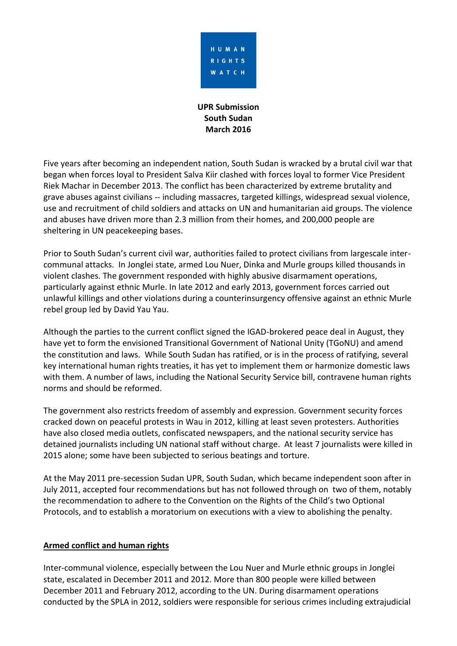

**UPR Submission South Sudan March 2016**

Five years after becoming an independent nation, South Sudan is wracked by a brutal civil war that began when forces loyal to President Salva Kiir clashed with forces loyal to former Vice President Riek Machar in December 2013. The conflict has been characterized by extreme brutality and grave abuses against civilians -- including massacres, targeted killings, widespread sexual violence, use and recruitment of child soldiers and attacks on UN and humanitarian aid groups. The violence and abuses have driven more than 2.3 million from their homes, and 200,000 people are sheltering in UN peacekeeping bases.

Prior to South Sudan's current civil war, authorities failed to protect civilians from largescale intercommunal attacks. In Jonglei state, armed Lou Nuer, Dinka and Murle groups killed thousands in violent clashes. The government responded with highly abusive disarmament operations, particularly against ethnic Murle. In late 2012 and early 2013, government forces carried out unlawful killings and other violations during a counterinsurgency offensive against an ethnic Murle rebel group led by David Yau Yau.

Although the parties to the current conflict signed the IGAD-brokered peace deal in August, they have yet to form the envisioned Transitional Government of National Unity (TGoNU) and amend the constitution and laws. While South Sudan has ratified, or is in the process of ratifying, several key international human rights treaties, it has yet to implement them or harmonize domestic laws with them. A number of laws, including the National Security Service bill, contravene human rights norms and should be reformed.

The government also restricts freedom of assembly and expression. Government security forces cracked down on peaceful protests in Wau in 2012, killing at least seven protesters. Authorities have also closed media outlets, confiscated newspapers, and the national security service has detained journalists including UN national staff without charge. At least 7 journalists were killed in 2015 alone; some have been subjected to serious beatings and torture.

At the May 2011 pre-secession Sudan UPR, South Sudan, which became independent soon after in July 2011, accepted four recommendations but has not followed through on two of them, notably the recommendation to adhere to the Convention on the Rights of the Child's two Optional Protocols, and to establish a moratorium on executions with a view to abolishing the penalty.

#### **Armed conflict and human rights**

Inter-communal violence, especially between the Lou Nuer and Murle ethnic groups in Jonglei state, escalated in December 2011 and 2012. More than 800 people were killed between December 2011 and February 2012, according to the UN. During disarmament operations conducted by the SPLA in 2012, soldiers were responsible for serious crimes including extrajudicial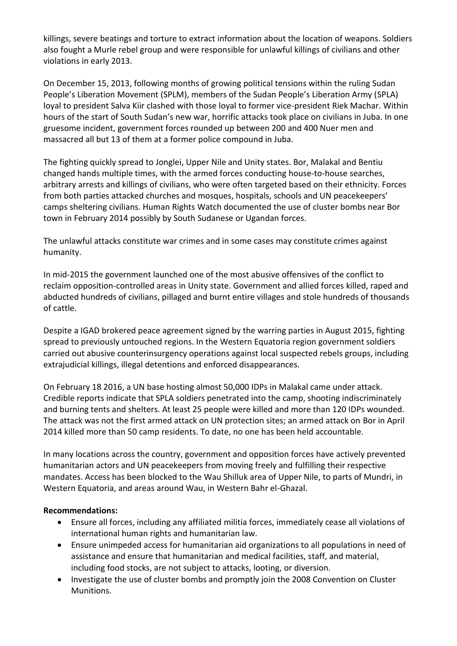killings, severe beatings and torture to extract information about the location of weapons. Soldiers also fought a Murle rebel group and were responsible for unlawful killings of civilians and other violations in early 2013.

On December 15, 2013, following months of growing political tensions within the ruling Sudan People's Liberation Movement (SPLM), members of the Sudan People's Liberation Army (SPLA) loyal to president Salva Kiir clashed with those loyal to former vice-president Riek Machar. Within hours of the start of South Sudan's new war, horrific attacks took place on civilians in Juba. In one gruesome incident, government forces rounded up between 200 and 400 Nuer men and massacred all but 13 of them at a former police compound in Juba.

The fighting quickly spread to Jonglei, Upper Nile and Unity states. Bor, Malakal and Bentiu changed hands multiple times, with the armed forces conducting house-to-house searches, arbitrary arrests and killings of civilians, who were often targeted based on their ethnicity. Forces from both parties attacked churches and mosques, hospitals, schools and UN peacekeepers' camps sheltering civilians. Human Rights Watch documented the use of cluster bombs near Bor town in February 2014 possibly by South Sudanese or Ugandan forces.

The unlawful attacks constitute war crimes and in some cases may constitute crimes against humanity.

In mid-2015 the government launched one of the most abusive offensives of the conflict to reclaim opposition-controlled areas in Unity state. Government and allied forces killed, raped and abducted hundreds of civilians, pillaged and burnt entire villages and stole hundreds of thousands of cattle.

Despite a IGAD brokered peace agreement signed by the warring parties in August 2015, fighting spread to previously untouched regions. In the Western Equatoria region government soldiers carried out abusive counterinsurgency operations against local suspected rebels groups, including extrajudicial killings, illegal detentions and enforced disappearances.

On February 18 2016, a UN base hosting almost 50,000 IDPs in Malakal came under attack. Credible reports indicate that SPLA soldiers penetrated into the camp, shooting indiscriminately and burning tents and shelters. At least 25 people were killed and more than 120 IDPs wounded. The attack was not the first armed attack on UN protection sites; an armed attack on Bor in April 2014 killed more than 50 camp residents. To date, no one has been held accountable.

In many locations across the country, government and opposition forces have actively prevented humanitarian actors and UN peacekeepers from moving freely and fulfilling their respective mandates. Access has been blocked to the Wau Shilluk area of Upper Nile, to parts of Mundri, in Western Equatoria, and areas around Wau, in Western Bahr el-Ghazal.

#### **Recommendations:**

- Ensure all forces, including any affiliated militia forces, immediately cease all violations of international human rights and humanitarian law.
- Ensure unimpeded access for humanitarian aid organizations to all populations in need of assistance and ensure that humanitarian and medical facilities, staff, and material, including food stocks, are not subject to attacks, looting, or diversion.
- Investigate the use of cluster bombs and promptly join the 2008 Convention on Cluster Munitions.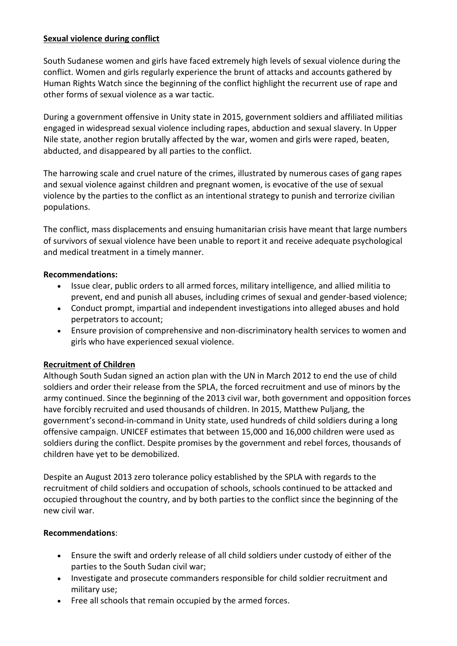#### **Sexual violence during conflict**

South Sudanese women and girls have faced extremely high levels of sexual violence during the conflict. Women and girls regularly experience the brunt of attacks and accounts gathered by Human Rights Watch since the beginning of the conflict highlight the recurrent use of rape and other forms of sexual violence as a war tactic.

During a government offensive in Unity state in 2015, government soldiers and affiliated militias engaged in widespread sexual violence including rapes, abduction and sexual slavery. In Upper Nile state, another region brutally affected by the war, women and girls were raped, beaten, abducted, and disappeared by all parties to the conflict.

The harrowing scale and cruel nature of the crimes, illustrated by numerous cases of gang rapes and sexual violence against children and pregnant women, is evocative of the use of sexual violence by the parties to the conflict as an intentional strategy to punish and terrorize civilian populations.

The conflict, mass displacements and ensuing humanitarian crisis have meant that large numbers of survivors of sexual violence have been unable to report it and receive adequate psychological and medical treatment in a timely manner.

### **Recommendations:**

- Issue clear, public orders to all armed forces, military intelligence, and allied militia to prevent, end and punish all abuses, including crimes of sexual and gender-based violence;
- Conduct prompt, impartial and independent investigations into alleged abuses and hold perpetrators to account;
- Ensure provision of comprehensive and non-discriminatory health services to women and girls who have experienced sexual violence.

# **Recruitment of Children**

Although South Sudan signed an action plan with the UN in March 2012 to end the use of child soldiers and order their release from the SPLA, the forced recruitment and use of minors by the army continued. Since the beginning of the 2013 civil war, both government and opposition forces have forcibly recruited and used thousands of children. In 2015, Matthew Puljang, the government's second-in-command in Unity state, used hundreds of child soldiers during a long offensive campaign. UNICEF estimates that between 15,000 and 16,000 children were used as soldiers during the conflict. Despite promises by the government and rebel forces, thousands of children have yet to be demobilized.

Despite an August 2013 zero tolerance policy established by the SPLA with regards to the recruitment of child soldiers and occupation of schools, schools continued to be attacked and occupied throughout the country, and by both parties to the conflict since the beginning of the new civil war.

#### **Recommendations**:

- Ensure the swift and orderly release of all child soldiers under custody of either of the parties to the South Sudan civil war;
- Investigate and prosecute commanders responsible for child soldier recruitment and military use;
- Free all schools that remain occupied by the armed forces.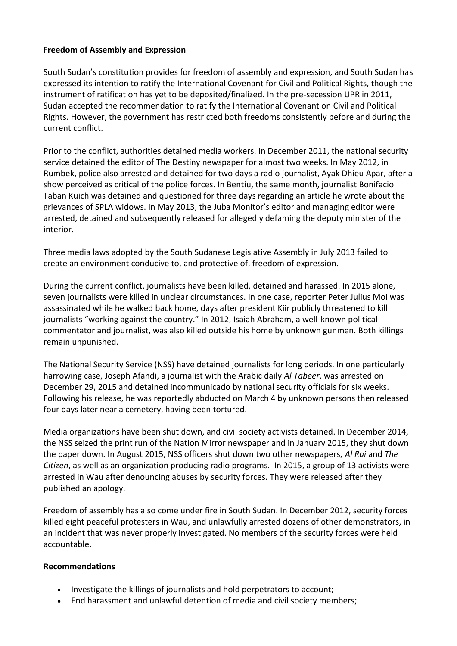### **Freedom of Assembly and Expression**

South Sudan's constitution provides for freedom of assembly and expression, and South Sudan has expressed its intention to ratify the International Covenant for Civil and Political Rights, though the instrument of ratification has yet to be deposited/finalized. In the pre-secession UPR in 2011, Sudan accepted the recommendation to ratify the International Covenant on Civil and Political Rights. However, the government has restricted both freedoms consistently before and during the current conflict.

Prior to the conflict, authorities detained media workers. In December 2011, the national security service detained the editor of The Destiny newspaper for almost two weeks. In May 2012, in Rumbek, police also arrested and detained for two days a radio journalist, Ayak Dhieu Apar, after a show perceived as critical of the police forces. In Bentiu, the same month, journalist Bonifacio Taban Kuich was detained and questioned for three days regarding an article he wrote about the grievances of SPLA widows. In May 2013, the Juba Monitor's editor and managing editor were arrested, detained and subsequently released for allegedly defaming the deputy minister of the interior.

Three media laws adopted by the South Sudanese Legislative Assembly in July 2013 failed to create an environment conducive to, and protective of, freedom of expression.

During the current conflict, journalists have been killed, detained and harassed. In 2015 alone, seven journalists were killed in unclear circumstances. In one case, reporter Peter Julius Moi was assassinated while he walked back home, days after president Kiir publicly threatened to kill journalists "working against the country." In 2012, Isaiah Abraham, a well-known political commentator and journalist, was also killed outside his home by unknown gunmen. Both killings remain unpunished.

The National Security Service (NSS) have detained journalists for long periods. In one particularly harrowing case, Joseph Afandi, a journalist with the Arabic daily *Al Tabeer*, was arrested on December 29, 2015 and detained incommunicado by national security officials for six weeks. Following his release, he was reportedly abducted on March 4 by unknown persons then released four days later near a cemetery, having been tortured.

Media organizations have been shut down, and civil society activists detained. In December 2014, the NSS seized the print run of the Nation Mirror newspaper and in January 2015, they shut down the paper down. In August 2015, NSS officers shut down two other newspapers, *Al Rai* and *The Citizen*, as well as an organization producing radio programs. In 2015, a group of 13 activists were arrested in Wau after denouncing abuses by security forces. They were released after they published an apology.

Freedom of assembly has also come under fire in South Sudan. In December 2012, security forces killed eight peaceful protesters in Wau, and unlawfully arrested dozens of other demonstrators, in an incident that was never properly investigated. No members of the security forces were held accountable.

#### **Recommendations**

- Investigate the killings of journalists and hold perpetrators to account;
- End harassment and unlawful detention of media and civil society members;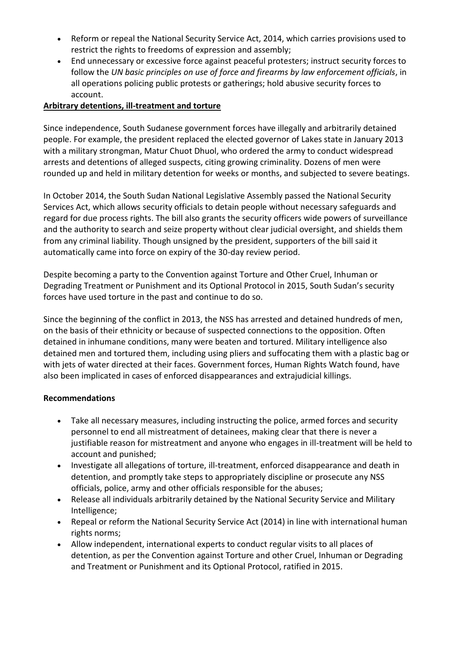- Reform or repeal the National Security Service Act, 2014, which carries provisions used to restrict the rights to freedoms of expression and assembly;
- End unnecessary or excessive force against peaceful protesters; instruct security forces to follow the *UN basic principles on use of force and firearms by law enforcement officials*, in all operations policing public protests or gatherings; hold abusive security forces to account.

## **Arbitrary detentions, ill-treatment and torture**

Since independence, South Sudanese government forces have illegally and arbitrarily detained people. For example, the president replaced the elected governor of Lakes state in January 2013 with a military strongman, Matur Chuot Dhuol, who ordered the army to conduct widespread arrests and detentions of alleged suspects, citing growing criminality. Dozens of men were rounded up and held in military detention for weeks or months, and subjected to severe beatings.

In October 2014, the South Sudan National Legislative Assembly passed the National Security Services Act, which allows security officials to detain people without necessary safeguards and regard for due process rights. The bill also grants the security officers wide powers of surveillance and the authority to search and seize property without clear judicial oversight, and shields them from any criminal liability. Though unsigned by the president, supporters of the bill said it automatically came into force on expiry of the 30-day review period.

Despite becoming a party to the Convention against Torture and Other Cruel, Inhuman or Degrading Treatment or Punishment and its Optional Protocol in 2015, South Sudan's security forces have used torture in the past and continue to do so.

Since the beginning of the conflict in 2013, the NSS has arrested and detained hundreds of men, on the basis of their ethnicity or because of suspected connections to the opposition. Often detained in inhumane conditions, many were beaten and tortured. Military intelligence also detained men and tortured them, including using pliers and suffocating them with a plastic bag or with jets of water directed at their faces. Government forces, Human Rights Watch found, have also been implicated in cases of enforced disappearances and extrajudicial killings.

#### **Recommendations**

- Take all necessary measures, including instructing the police, armed forces and security personnel to end all mistreatment of detainees, making clear that there is never a justifiable reason for mistreatment and anyone who engages in ill-treatment will be held to account and punished;
- Investigate all allegations of torture, ill-treatment, enforced disappearance and death in detention, and promptly take steps to appropriately discipline or prosecute any NSS officials, police, army and other officials responsible for the abuses;
- Release all individuals arbitrarily detained by the National Security Service and Military Intelligence;
- Repeal or reform the National Security Service Act (2014) in line with international human rights norms;
- Allow independent, international experts to conduct regular visits to all places of detention, as per the Convention against Torture and other Cruel, Inhuman or Degrading and Treatment or Punishment and its Optional Protocol, ratified in 2015.